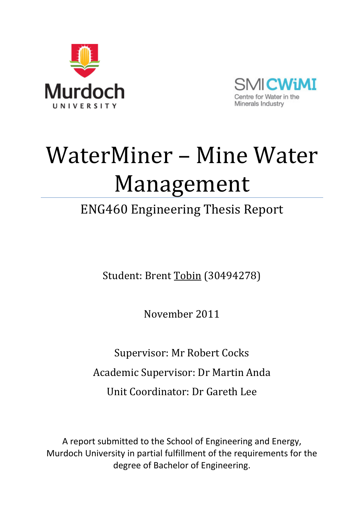



# WaterMiner – Mine Water Management

## ENG460 Engineering Thesis Report

Student: Brent Tobin (30494278)

November 2011

Supervisor: Mr Robert Cocks Academic Supervisor: Dr Martin Anda Unit Coordinator: Dr Gareth Lee

A report submitted to the School of Engineering and Energy, Murdoch University in partial fulfillment of the requirements for the degree of Bachelor of Engineering.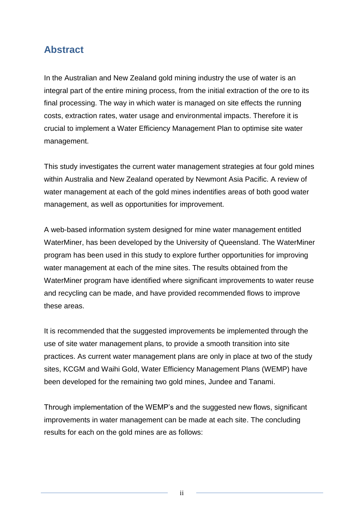#### <span id="page-1-0"></span>**Abstract**

In the Australian and New Zealand gold mining industry the use of water is an integral part of the entire mining process, from the initial extraction of the ore to its final processing. The way in which water is managed on site effects the running costs, extraction rates, water usage and environmental impacts. Therefore it is crucial to implement a Water Efficiency Management Plan to optimise site water management.

This study investigates the current water management strategies at four gold mines within Australia and New Zealand operated by Newmont Asia Pacific. A review of water management at each of the gold mines indentifies areas of both good water management, as well as opportunities for improvement.

A web-based information system designed for mine water management entitled WaterMiner, has been developed by the University of Queensland. The WaterMiner program has been used in this study to explore further opportunities for improving water management at each of the mine sites. The results obtained from the WaterMiner program have identified where significant improvements to water reuse and recycling can be made, and have provided recommended flows to improve these areas.

It is recommended that the suggested improvements be implemented through the use of site water management plans, to provide a smooth transition into site practices. As current water management plans are only in place at two of the study sites, KCGM and Waihi Gold, Water Efficiency Management Plans (WEMP) have been developed for the remaining two gold mines, Jundee and Tanami.

Through implementation of the WEMP's and the suggested new flows, significant improvements in water management can be made at each site. The concluding results for each on the gold mines are as follows:

ii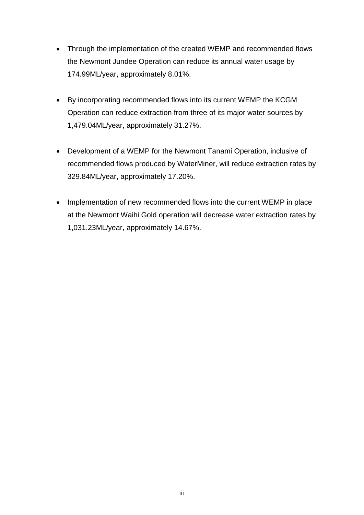- Through the implementation of the created WEMP and recommended flows the Newmont Jundee Operation can reduce its annual water usage by 174.99ML/year, approximately 8.01%.
- By incorporating recommended flows into its current WEMP the KCGM Operation can reduce extraction from three of its major water sources by 1,479.04ML/year, approximately 31.27%.
- Development of a WEMP for the Newmont Tanami Operation, inclusive of recommended flows produced by WaterMiner, will reduce extraction rates by 329.84ML/year, approximately 17.20%.
- Implementation of new recommended flows into the current WEMP in place at the Newmont Waihi Gold operation will decrease water extraction rates by 1,031.23ML/year, approximately 14.67%.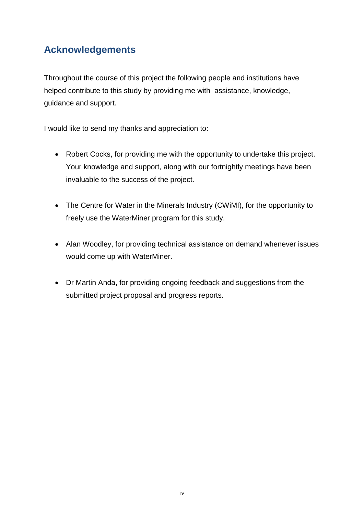#### **Acknowledgements**

Throughout the course of this project the following people and institutions have helped contribute to this study by providing me with assistance, knowledge, guidance and support.

I would like to send my thanks and appreciation to:

- Robert Cocks, for providing me with the opportunity to undertake this project. Your knowledge and support, along with our fortnightly meetings have been invaluable to the success of the project.
- The Centre for Water in the Minerals Industry (CWiMI), for the opportunity to freely use the WaterMiner program for this study.
- Alan Woodley, for providing technical assistance on demand whenever issues would come up with WaterMiner.
- Dr Martin Anda, for providing ongoing feedback and suggestions from the submitted project proposal and progress reports.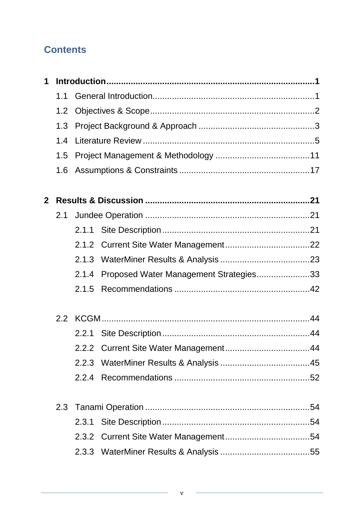#### **Contents**

| 1            |     |       |                                        |  |  |
|--------------|-----|-------|----------------------------------------|--|--|
|              | 1.1 |       |                                        |  |  |
|              | 1.2 |       |                                        |  |  |
|              | 1.3 |       |                                        |  |  |
|              | 1.4 |       |                                        |  |  |
|              | 1.5 |       |                                        |  |  |
|              |     |       |                                        |  |  |
| $\mathbf{2}$ |     |       |                                        |  |  |
|              | 2.1 |       |                                        |  |  |
|              |     |       |                                        |  |  |
|              |     |       |                                        |  |  |
|              |     |       |                                        |  |  |
|              |     | 2.1.4 | Proposed Water Management Strategies33 |  |  |
|              |     | 2.1.5 |                                        |  |  |
|              |     |       |                                        |  |  |
|              |     |       |                                        |  |  |
|              |     |       |                                        |  |  |
|              |     |       |                                        |  |  |
|              |     | 2.2.4 |                                        |  |  |
|              |     |       |                                        |  |  |
|              |     | 2.3.1 |                                        |  |  |
|              |     |       |                                        |  |  |
|              |     |       |                                        |  |  |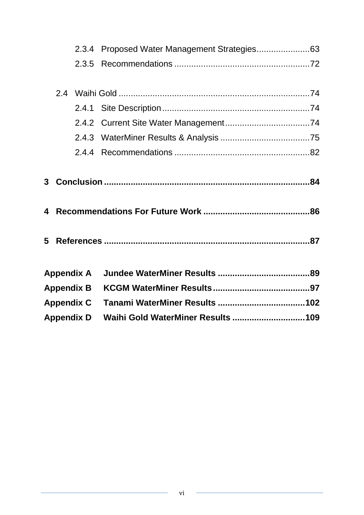|  |                   | 2.3.4 Proposed Water Management Strategies63 |  |
|--|-------------------|----------------------------------------------|--|
|  | 2.3.5             |                                              |  |
|  |                   |                                              |  |
|  |                   |                                              |  |
|  |                   |                                              |  |
|  |                   |                                              |  |
|  |                   |                                              |  |
|  |                   |                                              |  |
|  |                   |                                              |  |
|  |                   |                                              |  |
|  |                   |                                              |  |
|  |                   |                                              |  |
|  |                   |                                              |  |
|  |                   |                                              |  |
|  |                   |                                              |  |
|  | <b>Appendix A</b> |                                              |  |
|  | <b>Appendix B</b> |                                              |  |
|  | <b>Appendix C</b> |                                              |  |
|  | <b>Appendix D</b> |                                              |  |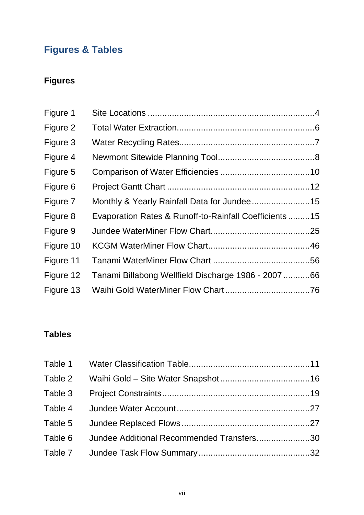### **Figures & Tables**

#### **Figures**

| Figure 1  |                                                       |  |
|-----------|-------------------------------------------------------|--|
| Figure 2  |                                                       |  |
| Figure 3  |                                                       |  |
| Figure 4  |                                                       |  |
| Figure 5  |                                                       |  |
| Figure 6  |                                                       |  |
| Figure 7  |                                                       |  |
| Figure 8  | Evaporation Rates & Runoff-to-Rainfall Coefficients15 |  |
| Figure 9  |                                                       |  |
| Figure 10 |                                                       |  |
| Figure 11 |                                                       |  |
| Figure 12 | Tanami Billabong Wellfield Discharge 1986 - 2007 66   |  |
| Figure 13 |                                                       |  |

#### **Tables**

| Table 6 Jundee Additional Recommended Transfers30 |  |
|---------------------------------------------------|--|
|                                                   |  |